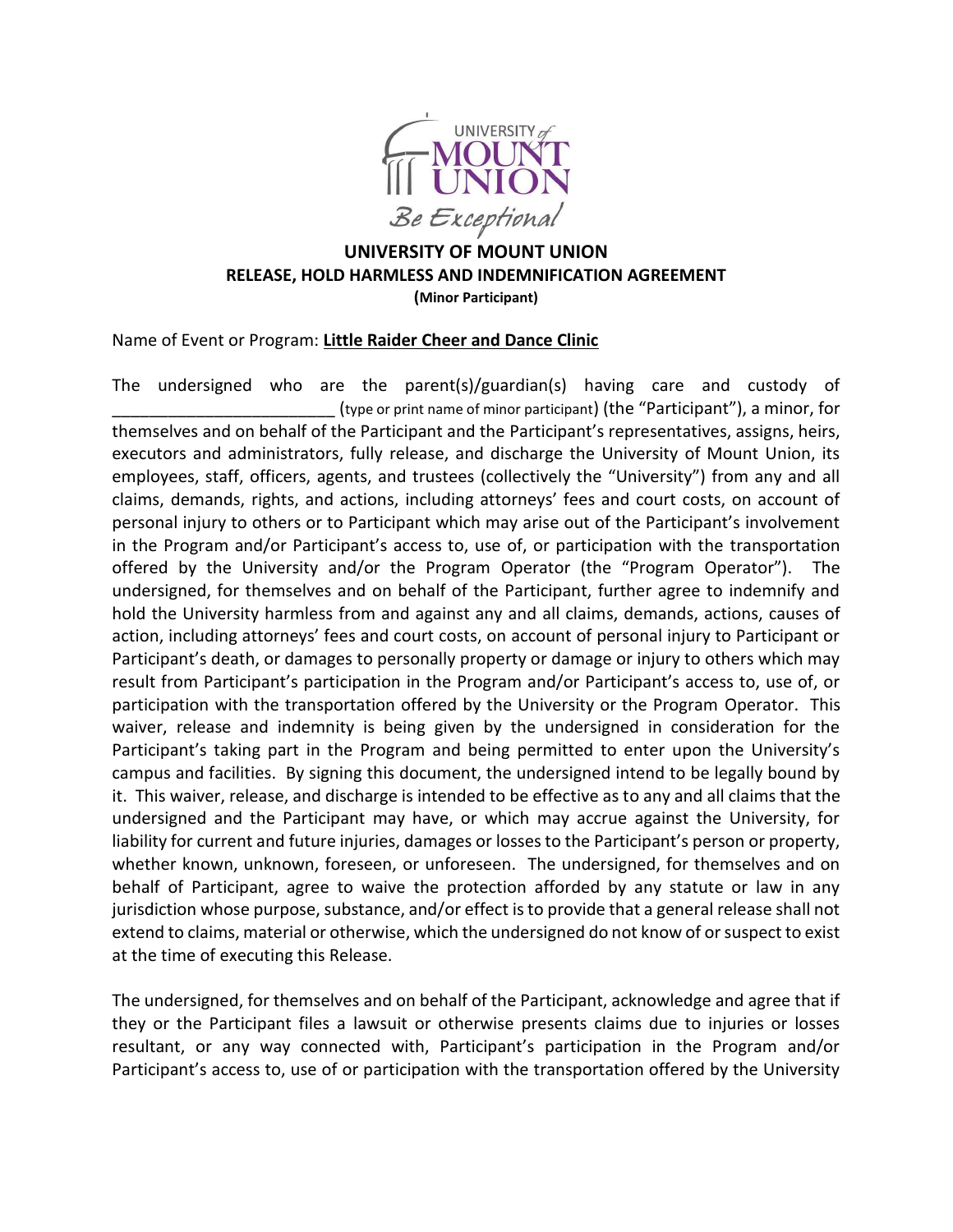

## **UNIVERSITY OF MOUNT UNION RELEASE, HOLD HARMLESS AND INDEMNIFICATION AGREEMENT (Minor Participant)**

Name of Event or Program: **Little Raider Cheer and Dance Clinic**

The undersigned who are the parent(s)/guardian(s) having care and custody of \_\_\_\_\_\_\_\_\_\_\_\_\_\_\_\_\_\_\_\_\_\_\_\_ (type or print name of minor participant) (the "Participant"), a minor, for themselves and on behalf of the Participant and the Participant's representatives, assigns, heirs, executors and administrators, fully release, and discharge the University of Mount Union, its employees, staff, officers, agents, and trustees (collectively the "University") from any and all claims, demands, rights, and actions, including attorneys' fees and court costs, on account of personal injury to others or to Participant which may arise out of the Participant's involvement in the Program and/or Participant's access to, use of, or participation with the transportation offered by the University and/or the Program Operator (the "Program Operator"). The undersigned, for themselves and on behalf of the Participant, further agree to indemnify and hold the University harmless from and against any and all claims, demands, actions, causes of action, including attorneys' fees and court costs, on account of personal injury to Participant or Participant's death, or damages to personally property or damage or injury to others which may result from Participant's participation in the Program and/or Participant's access to, use of, or participation with the transportation offered by the University or the Program Operator. This waiver, release and indemnity is being given by the undersigned in consideration for the Participant's taking part in the Program and being permitted to enter upon the University's campus and facilities. By signing this document, the undersigned intend to be legally bound by it. This waiver, release, and discharge is intended to be effective as to any and all claims that the undersigned and the Participant may have, or which may accrue against the University, for liability for current and future injuries, damages or losses to the Participant's person or property, whether known, unknown, foreseen, or unforeseen. The undersigned, for themselves and on behalf of Participant, agree to waive the protection afforded by any statute or law in any jurisdiction whose purpose, substance, and/or effect is to provide that a general release shall not extend to claims, material or otherwise, which the undersigned do not know of or suspect to exist at the time of executing this Release.

The undersigned, for themselves and on behalf of the Participant, acknowledge and agree that if they or the Participant files a lawsuit or otherwise presents claims due to injuries or losses resultant, or any way connected with, Participant's participation in the Program and/or Participant's access to, use of or participation with the transportation offered by the University